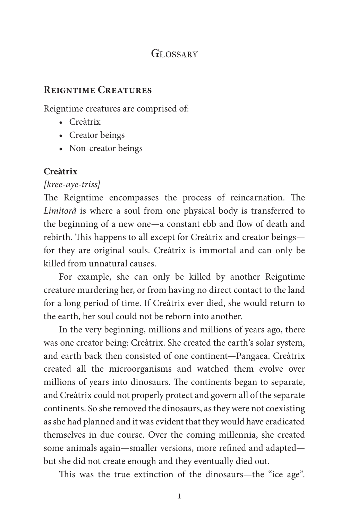### GLOSSARY

#### **Reigntime Creatures**

Reigntime creatures are comprised of:

- Creàtrix
- Creator beings
- Non-creator beings

#### **Creàtrix**

#### *[kree-aye-triss]*

The Reigntime encompasses the process of reincarnation. The *Limitorâ* is where a soul from one physical body is transferred to the beginning of a new one—a constant ebb and flow of death and rebirth. This happens to all except for Creàtrix and creator beings for they are original souls. Creàtrix is immortal and can only be killed from unnatural causes.

For example, she can only be killed by another Reigntime creature murdering her, or from having no direct contact to the land for a long period of time. If Creàtrix ever died, she would return to the earth, her soul could not be reborn into another.

In the very beginning, millions and millions of years ago, there was one creator being: Creàtrix. She created the earth's solar system, and earth back then consisted of one continent—Pangaea. Creàtrix created all the microorganisms and watched them evolve over millions of years into dinosaurs. The continents began to separate, and Creàtrix could not properly protect and govern all of the separate continents. So she removed the dinosaurs, as they were not coexisting as she had planned and it was evident that they would have eradicated themselves in due course. Over the coming millennia, she created some animals again—smaller versions, more refined and adapted but she did not create enough and they eventually died out.

This was the true extinction of the dinosaurs—the "ice age".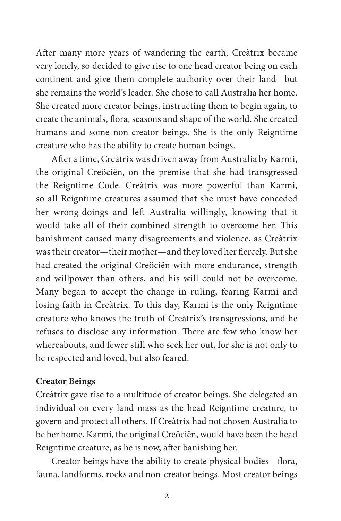After many more years of wandering the earth, Creàtrix became very lonely, so decided to give rise to one head creator being on each continent and give them complete authority over their land—but she remains the world's leader. She chose to call Australia her home. She created more creator beings, instructing them to begin again, to create the animals, flora, seasons and shape of the world. She created humans and some non-creator beings. She is the only Reigntime creature who has the ability to create human beings.

After a time, Creàtrix was driven away from Australia by Karmi, the original Creöciën, on the premise that she had transgressed the Reigntime Code. Creàtrix was more powerful than Karmi, so all Reigntime creatures assumed that she must have conceded her wrong-doings and left Australia willingly, knowing that it would take all of their combined strength to overcome her. This banishment caused many disagreements and violence, as Creàtrix was their creator—their mother—and they loved her fiercely. But she had created the original Creöciën with more endurance, strength and willpower than others, and his will could not be overcome. Many began to accept the change in ruling, fearing Karmi and losing faith in Creàtrix. To this day, Karmi is the only Reigntime creature who knows the truth of Creàtrix's transgressions, and he refuses to disclose any information. There are few who know her whereabouts, and fewer still who seek her out, for she is not only to be respected and loved, but also feared.

#### **Creator Beings**

Creàtrix gave rise to a multitude of creator beings. She delegated an individual on every land mass as the head Reigntime creature, to govern and protect all others. If Creàtrix had not chosen Australia to be her home, Karmi, the original Creöciën, would have been the head Reigntime creature, as he is now, after banishing her.

Creator beings have the ability to create physical bodies—flora, fauna, landforms, rocks and non-creator beings. Most creator beings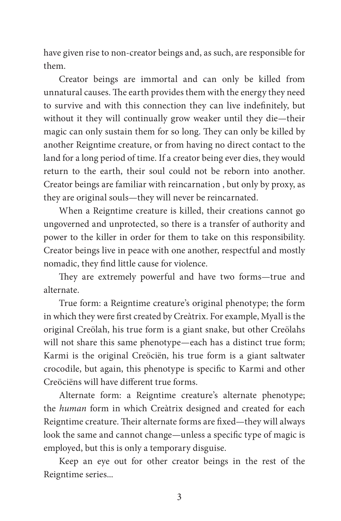have given rise to non-creator beings and, as such, are responsible for them.

Creator beings are immortal and can only be killed from unnatural causes. The earth provides them with the energy they need to survive and with this connection they can live indefinitely, but without it they will continually grow weaker until they die—their magic can only sustain them for so long. They can only be killed by another Reigntime creature, or from having no direct contact to the land for a long period of time. If a creator being ever dies, they would return to the earth, their soul could not be reborn into another. Creator beings are familiar with reincarnation , but only by proxy, as they are original souls—they will never be reincarnated.

When a Reigntime creature is killed, their creations cannot go ungoverned and unprotected, so there is a transfer of authority and power to the killer in order for them to take on this responsibility. Creator beings live in peace with one another, respectful and mostly nomadic, they find little cause for violence.

They are extremely powerful and have two forms—true and alternate.

True form: a Reigntime creature's original phenotype; the form in which they were first created by Creàtrix. For example, Myall is the original Creölah, his true form is a giant snake, but other Creölahs will not share this same phenotype—each has a distinct true form; Karmi is the original Creöciën, his true form is a giant saltwater crocodile, but again, this phenotype is specific to Karmi and other Creöciëns will have different true forms.

Alternate form: a Reigntime creature's alternate phenotype; the *human* form in which Creàtrix designed and created for each Reigntime creature. Their alternate forms are fixed—they will always look the same and cannot change—unless a specific type of magic is employed, but this is only a temporary disguise.

Keep an eye out for other creator beings in the rest of the Reigntime series...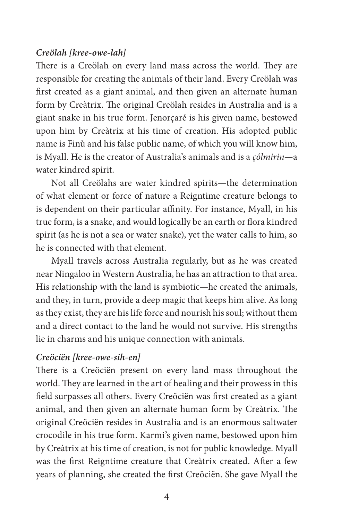#### *Creölah [kree-owe-lah]*

There is a Creölah on every land mass across the world. They are responsible for creating the animals of their land. Every Creölah was first created as a giant animal, and then given an alternate human form by Creàtrix. The original Creölah resides in Australia and is a giant snake in his true form. Jenorçaré is his given name, bestowed upon him by Creàtrix at his time of creation. His adopted public name is Finù and his false public name, of which you will know him, is Myall. He is the creator of Australia's animals and is a *çólmirin*—a water kindred spirit.

Not all Creölahs are water kindred spirits—the determination of what element or force of nature a Reigntime creature belongs to is dependent on their particular affinity. For instance, Myall, in his true form, is a snake, and would logically be an earth or flora kindred spirit (as he is not a sea or water snake), yet the water calls to him, so he is connected with that element.

Myall travels across Australia regularly, but as he was created near Ningaloo in Western Australia, he has an attraction to that area. His relationship with the land is symbiotic—he created the animals, and they, in turn, provide a deep magic that keeps him alive. As long as they exist, they are his life force and nourish his soul; without them and a direct contact to the land he would not survive. His strengths lie in charms and his unique connection with animals.

#### *Creöciën [kree-owe-sih-en]*

There is a Creöciën present on every land mass throughout the world. They are learned in the art of healing and their prowess in this field surpasses all others. Every Creöciën was first created as a giant animal, and then given an alternate human form by Creàtrix. The original Creöciën resides in Australia and is an enormous saltwater crocodile in his true form. Karmi's given name, bestowed upon him by Creàtrix at his time of creation, is not for public knowledge. Myall was the first Reigntime creature that Creàtrix created. After a few years of planning, she created the first Creöciën. She gave Myall the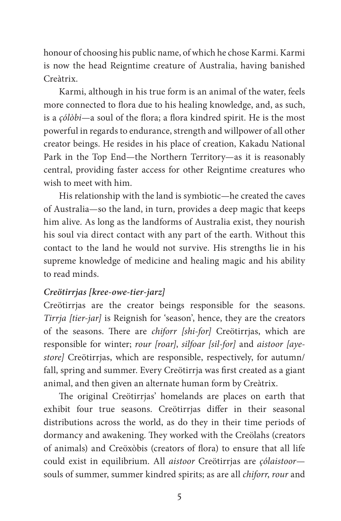honour of choosing his public name, of which he chose Karmi. Karmi is now the head Reigntime creature of Australia, having banished Creàtrix.

Karmi, although in his true form is an animal of the water, feels more connected to flora due to his healing knowledge, and, as such, is a *çólòbi*—a soul of the flora; a flora kindred spirit. He is the most powerful in regards to endurance, strength and willpower of all other creator beings. He resides in his place of creation, Kakadu National Park in the Top End—the Northern Territory—as it is reasonably central, providing faster access for other Reigntime creatures who wish to meet with him.

His relationship with the land is symbiotic—he created the caves of Australia—so the land, in turn, provides a deep magic that keeps him alive. As long as the landforms of Australia exist, they nourish his soul via direct contact with any part of the earth. Without this contact to the land he would not survive. His strengths lie in his supreme knowledge of medicine and healing magic and his ability to read minds.

### *Creötirrjas [kree-owe-tier-jarz]*

Creötirrjas are the creator beings responsible for the seasons. *Tirrja [tier-jar]* is Reignish for 'season', hence, they are the creators of the seasons. There are *chiforr [shi-for]* Creötirrjas, which are responsible for winter; *rour [roar]*, *silfoar [sil-for]* and *aistoor [ayestore]* Creötirrjas, which are responsible, respectively, for autumn/ fall, spring and summer. Every Creötirrja was first created as a giant animal, and then given an alternate human form by Creàtrix.

The original Creötirrjas' homelands are places on earth that exhibit four true seasons. Creötirrjas differ in their seasonal distributions across the world, as do they in their time periods of dormancy and awakening. They worked with the Creölahs (creators of animals) and Creöxòbis (creators of flora) to ensure that all life could exist in equilibrium. All *aistoor* Creötirrjas are *çólaistoor* souls of summer, summer kindred spirits; as are all *chiforr*, *rour* and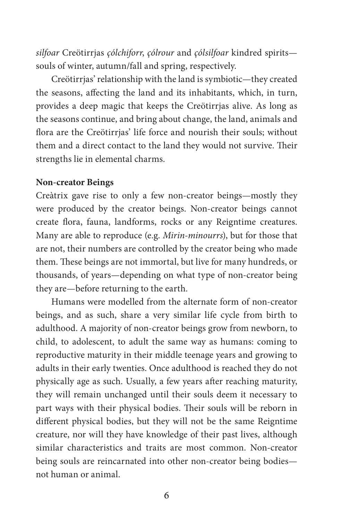*silfoar* Creötirrjas *çólchiforr*, *çólrour* and *çólsilfoar* kindred spirits souls of winter, autumn/fall and spring, respectively.

Creötirrjas' relationship with the land is symbiotic—they created the seasons, affecting the land and its inhabitants, which, in turn, provides a deep magic that keeps the Creötirrjas alive. As long as the seasons continue, and bring about change, the land, animals and flora are the Creötirrjas' life force and nourish their souls; without them and a direct contact to the land they would not survive. Their strengths lie in elemental charms.

#### **Non-creator Beings**

Creàtrix gave rise to only a few non-creator beings—mostly they were produced by the creator beings. Non-creator beings cannot create flora, fauna, landforms, rocks or any Reigntime creatures. Many are able to reproduce (e.g. *Mirin-minourrs*), but for those that are not, their numbers are controlled by the creator being who made them. These beings are not immortal, but live for many hundreds, or thousands, of years—depending on what type of non-creator being they are—before returning to the earth.

Humans were modelled from the alternate form of non-creator beings, and as such, share a very similar life cycle from birth to adulthood. A majority of non-creator beings grow from newborn, to child, to adolescent, to adult the same way as humans: coming to reproductive maturity in their middle teenage years and growing to adults in their early twenties. Once adulthood is reached they do not physically age as such. Usually, a few years after reaching maturity, they will remain unchanged until their souls deem it necessary to part ways with their physical bodies. Their souls will be reborn in different physical bodies, but they will not be the same Reigntime creature, nor will they have knowledge of their past lives, although similar characteristics and traits are most common. Non-creator being souls are reincarnated into other non-creator being bodies not human or animal.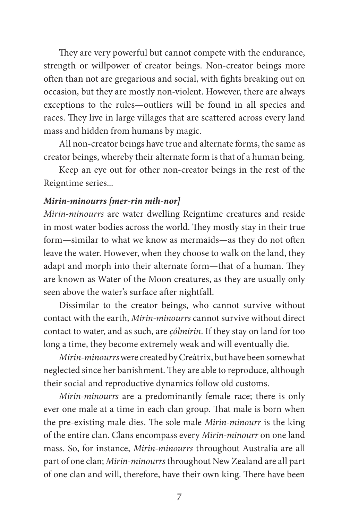They are very powerful but cannot compete with the endurance, strength or willpower of creator beings. Non-creator beings more often than not are gregarious and social, with fights breaking out on occasion, but they are mostly non-violent. However, there are always exceptions to the rules—outliers will be found in all species and races. They live in large villages that are scattered across every land mass and hidden from humans by magic.

All non-creator beings have true and alternate forms, the same as creator beings, whereby their alternate form is that of a human being.

Keep an eye out for other non-creator beings in the rest of the Reigntime series...

#### *Mirin-minourrs [mer-rin mih-nor]*

*Mirin-minourrs* are water dwelling Reigntime creatures and reside in most water bodies across the world. They mostly stay in their true form—similar to what we know as mermaids—as they do not often leave the water. However, when they choose to walk on the land, they adapt and morph into their alternate form—that of a human. They are known as Water of the Moon creatures, as they are usually only seen above the water's surface after nightfall.

Dissimilar to the creator beings, who cannot survive without contact with the earth, *Mirin-minourrs* cannot survive without direct contact to water, and as such, are *çólmirin*. If they stay on land for too long a time, they become extremely weak and will eventually die.

*Mirin-minourrs* were created by Creàtrix, but have been somewhat neglected since her banishment. They are able to reproduce, although their social and reproductive dynamics follow old customs.

*Mirin-minourrs* are a predominantly female race; there is only ever one male at a time in each clan group. That male is born when the pre-existing male dies. The sole male *Mirin-minourr* is the king of the entire clan. Clans encompass every *Mirin-minourr* on one land mass. So, for instance, *Mirin-minourrs* throughout Australia are all part of one clan; *Mirin-minourrs* throughout New Zealand are all part of one clan and will, therefore, have their own king. There have been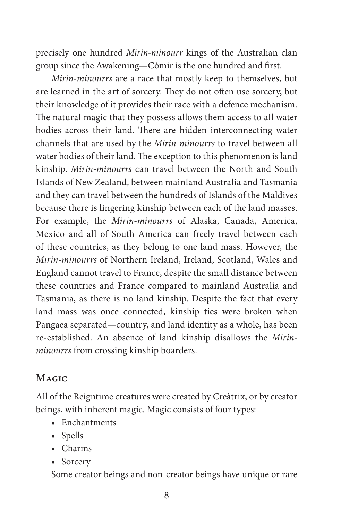precisely one hundred *Mirin-minourr* kings of the Australian clan group since the Awakening—Còmir is the one hundred and first.

*Mirin-minourrs* are a race that mostly keep to themselves, but are learned in the art of sorcery. They do not often use sorcery, but their knowledge of it provides their race with a defence mechanism. The natural magic that they possess allows them access to all water bodies across their land. There are hidden interconnecting water channels that are used by the *Mirin-minourrs* to travel between all water bodies of their land. The exception to this phenomenon is land kinship. *Mirin-minourrs* can travel between the North and South Islands of New Zealand, between mainland Australia and Tasmania and they can travel between the hundreds of Islands of the Maldives because there is lingering kinship between each of the land masses. For example, the *Mirin-minourrs* of Alaska, Canada, America, Mexico and all of South America can freely travel between each of these countries, as they belong to one land mass. However, the *Mirin-minourrs* of Northern Ireland, Ireland, Scotland, Wales and England cannot travel to France, despite the small distance between these countries and France compared to mainland Australia and Tasmania, as there is no land kinship. Despite the fact that every land mass was once connected, kinship ties were broken when Pangaea separated—country, and land identity as a whole, has been re-established. An absence of land kinship disallows the *Mirinminourrs* from crossing kinship boarders.

## **Magic**

All of the Reigntime creatures were created by Creàtrix, or by creator beings, with inherent magic. Magic consists of four types:

- Enchantments
- Spells
- Charms
- Sorcery

Some creator beings and non-creator beings have unique or rare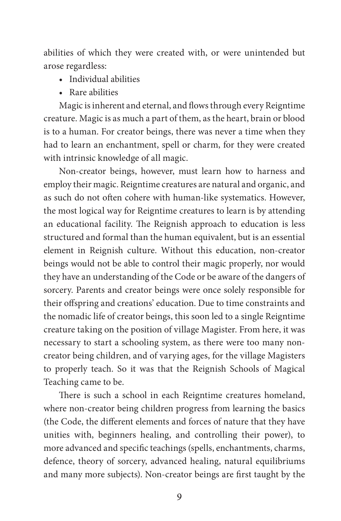abilities of which they were created with, or were unintended but arose regardless:

- Individual abilities
- Rare abilities

Magic is inherent and eternal, and flows through every Reigntime creature. Magic is as much a part of them, as the heart, brain or blood is to a human. For creator beings, there was never a time when they had to learn an enchantment, spell or charm, for they were created with intrinsic knowledge of all magic.

Non-creator beings, however, must learn how to harness and employ their magic. Reigntime creatures are natural and organic, and as such do not often cohere with human-like systematics. However, the most logical way for Reigntime creatures to learn is by attending an educational facility. The Reignish approach to education is less structured and formal than the human equivalent, but is an essential element in Reignish culture. Without this education, non-creator beings would not be able to control their magic properly, nor would they have an understanding of the Code or be aware of the dangers of sorcery. Parents and creator beings were once solely responsible for their offspring and creations' education. Due to time constraints and the nomadic life of creator beings, this soon led to a single Reigntime creature taking on the position of village Magister. From here, it was necessary to start a schooling system, as there were too many noncreator being children, and of varying ages, for the village Magisters to properly teach. So it was that the Reignish Schools of Magical Teaching came to be.

There is such a school in each Reigntime creatures homeland, where non-creator being children progress from learning the basics (the Code, the different elements and forces of nature that they have unities with, beginners healing, and controlling their power), to more advanced and specific teachings (spells, enchantments, charms, defence, theory of sorcery, advanced healing, natural equilibriums and many more subjects). Non-creator beings are first taught by the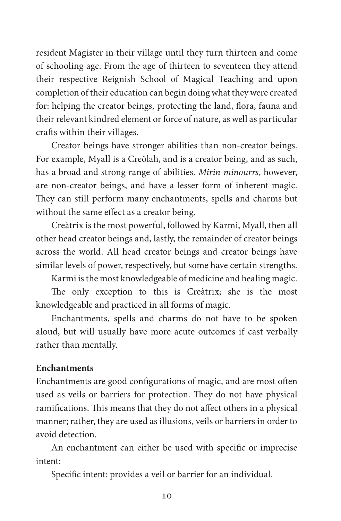resident Magister in their village until they turn thirteen and come of schooling age. From the age of thirteen to seventeen they attend their respective Reignish School of Magical Teaching and upon completion of their education can begin doing what they were created for: helping the creator beings, protecting the land, flora, fauna and their relevant kindred element or force of nature, as well as particular crafts within their villages.

Creator beings have stronger abilities than non-creator beings. For example, Myall is a Creölah, and is a creator being, and as such, has a broad and strong range of abilities. *Mirin-minourrs*, however, are non-creator beings, and have a lesser form of inherent magic. They can still perform many enchantments, spells and charms but without the same effect as a creator being.

Creàtrix is the most powerful, followed by Karmi, Myall, then all other head creator beings and, lastly, the remainder of creator beings across the world. All head creator beings and creator beings have similar levels of power, respectively, but some have certain strengths.

Karmi is the most knowledgeable of medicine and healing magic.

The only exception to this is Creàtrix; she is the most knowledgeable and practiced in all forms of magic.

Enchantments, spells and charms do not have to be spoken aloud, but will usually have more acute outcomes if cast verbally rather than mentally.

#### **Enchantments**

Enchantments are good configurations of magic, and are most often used as veils or barriers for protection. They do not have physical ramifications. This means that they do not affect others in a physical manner; rather, they are used as illusions, veils or barriers in order to avoid detection.

An enchantment can either be used with specific or imprecise intent:

Specific intent: provides a veil or barrier for an individual.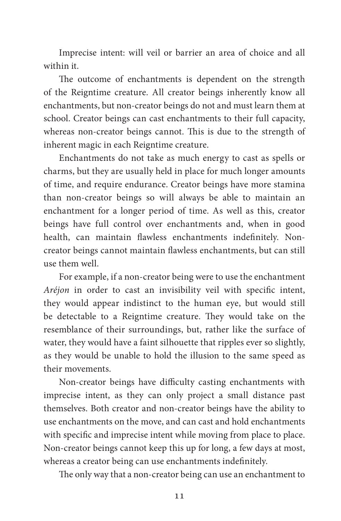Imprecise intent: will veil or barrier an area of choice and all within it.

The outcome of enchantments is dependent on the strength of the Reigntime creature. All creator beings inherently know all enchantments, but non-creator beings do not and must learn them at school. Creator beings can cast enchantments to their full capacity, whereas non-creator beings cannot. This is due to the strength of inherent magic in each Reigntime creature.

Enchantments do not take as much energy to cast as spells or charms, but they are usually held in place for much longer amounts of time, and require endurance. Creator beings have more stamina than non-creator beings so will always be able to maintain an enchantment for a longer period of time. As well as this, creator beings have full control over enchantments and, when in good health, can maintain flawless enchantments indefinitely. Noncreator beings cannot maintain flawless enchantments, but can still use them well.

For example, if a non-creator being were to use the enchantment *Aréjon* in order to cast an invisibility veil with specific intent, they would appear indistinct to the human eye, but would still be detectable to a Reigntime creature. They would take on the resemblance of their surroundings, but, rather like the surface of water, they would have a faint silhouette that ripples ever so slightly, as they would be unable to hold the illusion to the same speed as their movements.

Non-creator beings have difficulty casting enchantments with imprecise intent, as they can only project a small distance past themselves. Both creator and non-creator beings have the ability to use enchantments on the move, and can cast and hold enchantments with specific and imprecise intent while moving from place to place. Non-creator beings cannot keep this up for long, a few days at most, whereas a creator being can use enchantments indefinitely.

The only way that a non-creator being can use an enchantment to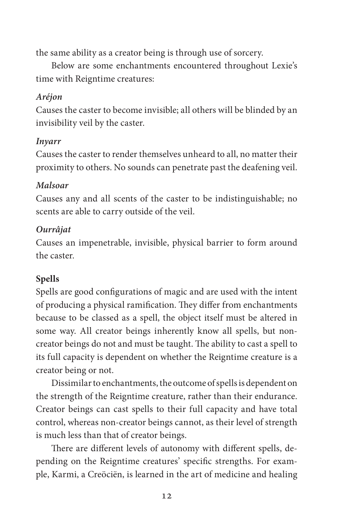the same ability as a creator being is through use of sorcery.

Below are some enchantments encountered throughout Lexie's time with Reigntime creatures:

## *Aréjon*

Causes the caster to become invisible; all others will be blinded by an invisibility veil by the caster.

#### *Inyarr*

Causes the caster to render themselves unheard to all, no matter their proximity to others. No sounds can penetrate past the deafening veil.

### *Malsoar*

Causes any and all scents of the caster to be indistinguishable; no scents are able to carry outside of the veil.

#### *Ourrâjat*

Causes an impenetrable, invisible, physical barrier to form around the caster.

## **Spells**

Spells are good configurations of magic and are used with the intent of producing a physical ramification. They differ from enchantments because to be classed as a spell, the object itself must be altered in some way. All creator beings inherently know all spells, but noncreator beings do not and must be taught. The ability to cast a spell to its full capacity is dependent on whether the Reigntime creature is a creator being or not.

Dissimilar to enchantments, the outcome of spells is dependent on the strength of the Reigntime creature, rather than their endurance. Creator beings can cast spells to their full capacity and have total control, whereas non-creator beings cannot, as their level of strength is much less than that of creator beings.

There are different levels of autonomy with different spells, depending on the Reigntime creatures' specific strengths. For example, Karmi, a Creöciën, is learned in the art of medicine and healing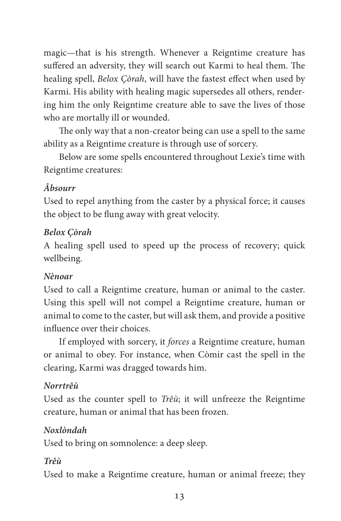magic—that is his strength. Whenever a Reigntime creature has suffered an adversity, they will search out Karmi to heal them. The healing spell, *Belox Çòrah*, will have the fastest effect when used by Karmi. His ability with healing magic supersedes all others, rendering him the only Reigntime creature able to save the lives of those who are mortally ill or wounded.

The only way that a non-creator being can use a spell to the same ability as a Reigntime creature is through use of sorcery.

Below are some spells encountered throughout Lexie's time with Reigntime creatures:

## *Âbsourr*

Used to repel anything from the caster by a physical force; it causes the object to be flung away with great velocity.

## *Belox Çòrah*

A healing spell used to speed up the process of recovery; quick wellbeing.

## *Nènoar*

Used to call a Reigntime creature, human or animal to the caster. Using this spell will not compel a Reigntime creature, human or animal to come to the caster, but will ask them, and provide a positive influence over their choices.

If employed with sorcery, it *forces* a Reigntime creature, human or animal to obey. For instance, when Còmir cast the spell in the clearing, Karmi was dragged towards him.

## *Norrtrêù*

Used as the counter spell to *Trêù*; it will unfreeze the Reigntime creature, human or animal that has been frozen.

## *Noxlòndah*

Used to bring on somnolence: a deep sleep.

## *Trêù*

Used to make a Reigntime creature, human or animal freeze; they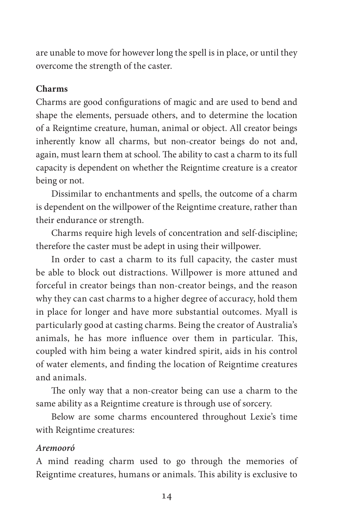are unable to move for however long the spell is in place, or until they overcome the strength of the caster.

#### **Charms**

Charms are good configurations of magic and are used to bend and shape the elements, persuade others, and to determine the location of a Reigntime creature, human, animal or object. All creator beings inherently know all charms, but non-creator beings do not and, again, must learn them at school. The ability to cast a charm to its full capacity is dependent on whether the Reigntime creature is a creator being or not.

Dissimilar to enchantments and spells, the outcome of a charm is dependent on the willpower of the Reigntime creature, rather than their endurance or strength.

Charms require high levels of concentration and self-discipline; therefore the caster must be adept in using their willpower.

In order to cast a charm to its full capacity, the caster must be able to block out distractions. Willpower is more attuned and forceful in creator beings than non-creator beings, and the reason why they can cast charms to a higher degree of accuracy, hold them in place for longer and have more substantial outcomes. Myall is particularly good at casting charms. Being the creator of Australia's animals, he has more influence over them in particular. This, coupled with him being a water kindred spirit, aids in his control of water elements, and finding the location of Reigntime creatures and animals.

The only way that a non-creator being can use a charm to the same ability as a Reigntime creature is through use of sorcery.

Below are some charms encountered throughout Lexie's time with Reigntime creatures:

#### *Aremooró*

A mind reading charm used to go through the memories of Reigntime creatures, humans or animals. This ability is exclusive to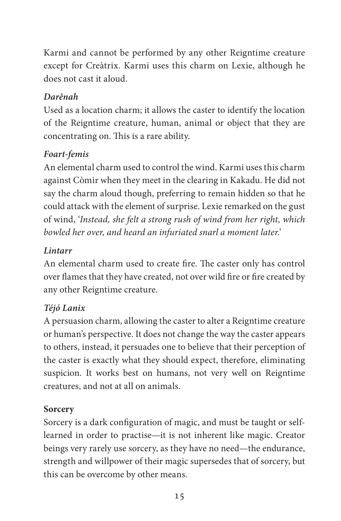Karmi and cannot be performed by any other Reigntime creature except for Creàtrix. Karmi uses this charm on Lexie, although he does not cast it aloud.

## *Darênah*

Used as a location charm; it allows the caster to identify the location of the Reigntime creature, human, animal or object that they are concentrating on. This is a rare ability.

## *Foart-femis*

An elemental charm used to control the wind. Karmi uses this charm against Còmir when they meet in the clearing in Kakadu. He did not say the charm aloud though, preferring to remain hidden so that he could attack with the element of surprise. Lexie remarked on the gust of wind, '*Instead, she felt a strong rush of wind from her right, which bowled her over, and heard an infuriated snarl a moment later*.'

## *Lintarr*

An elemental charm used to create fire. The caster only has control over flames that they have created, not over wild fire or fire created by any other Reigntime creature.

# *Téjó Lanix*

A persuasion charm, allowing the caster to alter a Reigntime creature or human's perspective. It does not change the way the caster appears to others, instead, it persuades one to believe that their perception of the caster is exactly what they should expect, therefore, eliminating suspicion. It works best on humans, not very well on Reigntime creatures, and not at all on animals.

## **Sorcery**

Sorcery is a dark configuration of magic, and must be taught or selflearned in order to practise—it is not inherent like magic. Creator beings very rarely use sorcery, as they have no need—the endurance, strength and willpower of their magic supersedes that of sorcery, but this can be overcome by other means.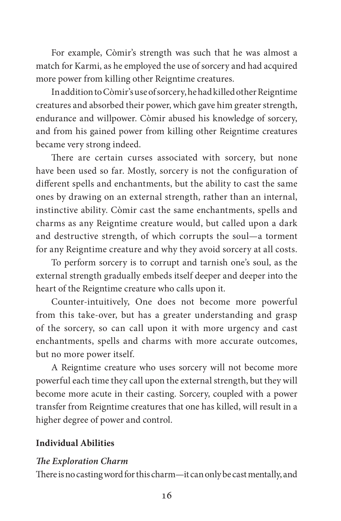For example, Còmir's strength was such that he was almost a match for Karmi, as he employed the use of sorcery and had acquired more power from killing other Reigntime creatures.

In addition to Còmir's use of sorcery, he had killed other Reigntime creatures and absorbed their power, which gave him greater strength, endurance and willpower. Còmir abused his knowledge of sorcery, and from his gained power from killing other Reigntime creatures became very strong indeed.

There are certain curses associated with sorcery, but none have been used so far. Mostly, sorcery is not the configuration of different spells and enchantments, but the ability to cast the same ones by drawing on an external strength, rather than an internal, instinctive ability. Còmir cast the same enchantments, spells and charms as any Reigntime creature would, but called upon a dark and destructive strength, of which corrupts the soul—a torment for any Reigntime creature and why they avoid sorcery at all costs.

To perform sorcery is to corrupt and tarnish one's soul, as the external strength gradually embeds itself deeper and deeper into the heart of the Reigntime creature who calls upon it.

Counter-intuitively, One does not become more powerful from this take-over, but has a greater understanding and grasp of the sorcery, so can call upon it with more urgency and cast enchantments, spells and charms with more accurate outcomes, but no more power itself.

A Reigntime creature who uses sorcery will not become more powerful each time they call upon the external strength, but they will become more acute in their casting. Sorcery, coupled with a power transfer from Reigntime creatures that one has killed, will result in a higher degree of power and control.

### **Individual Abilities**

### *The Exploration Charm*

There is no casting word for this charm—it can only be cast mentally, and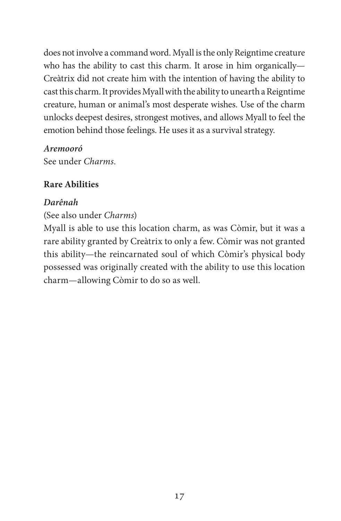does not involve a command word. Myall is the only Reigntime creature who has the ability to cast this charm. It arose in him organically— Creàtrix did not create him with the intention of having the ability to cast this charm. It provides Myall with the ability to unearth a Reigntime creature, human or animal's most desperate wishes. Use of the charm unlocks deepest desires, strongest motives, and allows Myall to feel the emotion behind those feelings. He uses it as a survival strategy.

#### *Aremooró*

See under *Charms.*

### **Rare Abilities**

#### *Darênah*

#### (See also under *Charms*)

Myall is able to use this location charm, as was Còmir, but it was a rare ability granted by Creàtrix to only a few. Còmir was not granted this ability—the reincarnated soul of which Còmir's physical body possessed was originally created with the ability to use this location charm—allowing Còmir to do so as well.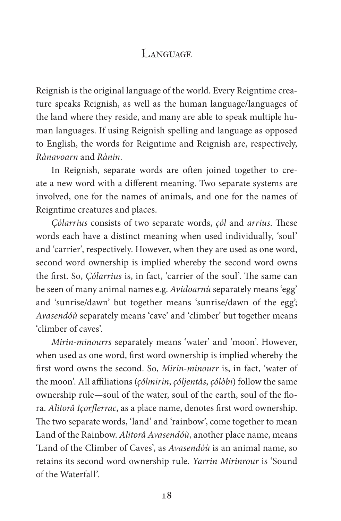## LANGUAGE

Reignish is the original language of the world. Every Reigntime creature speaks Reignish, as well as the human language/languages of the land where they reside, and many are able to speak multiple human languages. If using Reignish spelling and language as opposed to English, the words for Reigntime and Reignish are, respectively, *Rànavoarn* and *Rànin*.

In Reignish, separate words are often joined together to create a new word with a different meaning. Two separate systems are involved, one for the names of animals, and one for the names of Reigntime creatures and places.

*Çólarrius* consists of two separate words, *çól* and *arrius*. These words each have a distinct meaning when used individually, 'soul' and 'carrier', respectively. However, when they are used as one word, second word ownership is implied whereby the second word owns the first. So, *Çólarrius* is, in fact, 'carrier of the soul'. The same can be seen of many animal names e.g. *Avidoarnù* separately means 'egg' and 'sunrise/dawn' but together means 'sunrise/dawn of the egg'; *Avasendóù* separately means 'cave' and 'climber' but together means 'climber of caves'.

*Mirin-minourrs* separately means 'water' and 'moon'. However, when used as one word, first word ownership is implied whereby the first word owns the second. So, *Mirin-minourr* is, in fact, 'water of the moon'. All affiliations (*çólmirin*, *çóljentâs*, *çólòbi*) follow the same ownership rule—soul of the water, soul of the earth, soul of the flora. *Alitorâ Içorflerrac*, as a place name, denotes first word ownership. The two separate words, 'land' and 'rainbow', come together to mean Land of the Rainbow. *Alitorâ Avasendóù*, another place name, means 'Land of the Climber of Caves', as *Avasendóù* is an animal name, so retains its second word ownership rule. *Yarrin Mirinrour* is 'Sound of the Waterfall'.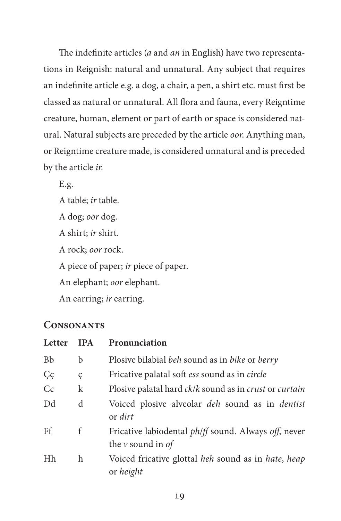The indefinite articles (*a* and *an* in English) have two representations in Reignish: natural and unnatural. Any subject that requires an indefinite article e.g. a dog, a chair, a pen, a shirt etc. must first be classed as natural or unnatural. All flora and fauna, every Reigntime creature, human, element or part of earth or space is considered natural. Natural subjects are preceded by the article *oor*. Anything man, or Reigntime creature made, is considered unnatural and is preceded by the article *ir*.

E.g.

A table; *ir* table. A dog; *oor* dog. A shirt; *ir* shirt. A rock; *oor* rock. A piece of paper; *ir* piece of paper. An elephant; *oor* elephant. An earring; *ir* earring.

## **Consonants**

| Letter    | <b>IPA</b> | Pronunciation                                                                        |  |  |
|-----------|------------|--------------------------------------------------------------------------------------|--|--|
| <b>Bb</b> | b          | Plosive bilabial beh sound as in bike or berry                                       |  |  |
| Çç        | ç          | Fricative palatal soft ess sound as in circle                                        |  |  |
| Cc        | k          | Plosive palatal hard ck/k sound as in crust or curtain                               |  |  |
| Dd        | d          | Voiced plosive alveolar <i>deh</i> sound as in <i>dentist</i><br>or dirt             |  |  |
| Ff        | f          | Fricative labiodental <i>ph/ff</i> sound. Always off, never<br>the $\nu$ sound in of |  |  |
| Hh        | h          | Voiced fricative glottal heh sound as in hate, heap<br>or height                     |  |  |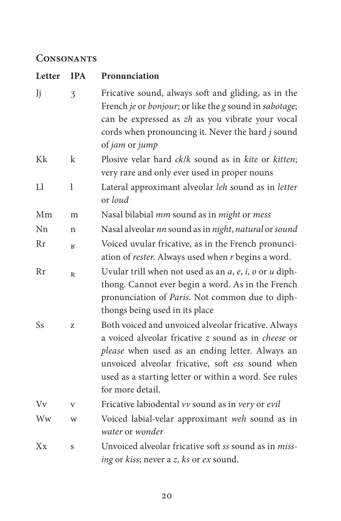## **Consonants**

| Letter  | <b>IPA</b>   | Pronunciation                                                                                                                                                                                                                                                                                  |  |
|---------|--------------|------------------------------------------------------------------------------------------------------------------------------------------------------------------------------------------------------------------------------------------------------------------------------------------------|--|
| Jj      | 3            | Fricative sound, always soft and gliding, as in the<br>French je or bonjour; or like the g sound in sabotage;<br>can be expressed as zh as you vibrate your vocal<br>cords when pronouncing it. Never the hard j sound<br>of jam or jump                                                       |  |
| Kk      | k            | Plosive velar hard ck/k sound as in kite or kitten;<br>very rare and only ever used in proper nouns                                                                                                                                                                                            |  |
| Ll      | $\mathbf 1$  | Lateral approximant alveolar leh sound as in letter<br>or loud                                                                                                                                                                                                                                 |  |
| Mm      | m            | Nasal bilabial mm sound as in might or mess                                                                                                                                                                                                                                                    |  |
| Nn      | n            | Nasal alveolar nn sound as in night, natural or sound                                                                                                                                                                                                                                          |  |
| Rr      | К            | Voiced uvular fricative, as in the French pronunci-<br>ation of rester. Always used when r begins a word.                                                                                                                                                                                      |  |
| Rr      | $\mathbb{R}$ | Uvular trill when not used as an $a$ , $e$ , $i$ , $o$ or $u$ diph-<br>thong. Cannot ever begin a word. As in the French<br>pronunciation of Paris. Not common due to diph-<br>thongs being used in its place                                                                                  |  |
| Ss      | Z            | Both voiced and unvoiced alveolar fricative. Always<br>a voiced alveolar fricative z sound as in cheese or<br>please when used as an ending letter. Always an<br>unvoiced alveolar fricative, soft ess sound when<br>used as a starting letter or within a word. See rules<br>for more detail. |  |
| Vv      | $\mathbf{V}$ | Fricative labiodental vv sound as in very or evil                                                                                                                                                                                                                                              |  |
| Ww      | W            | Voiced labial-velar approximant weh sound as in<br>water or wonder                                                                                                                                                                                                                             |  |
| $X_{X}$ | S            | Unvoiced alveolar fricative soft ss sound as in <i>miss</i> -<br>ing or kiss; never a z, ks or ex sound.                                                                                                                                                                                       |  |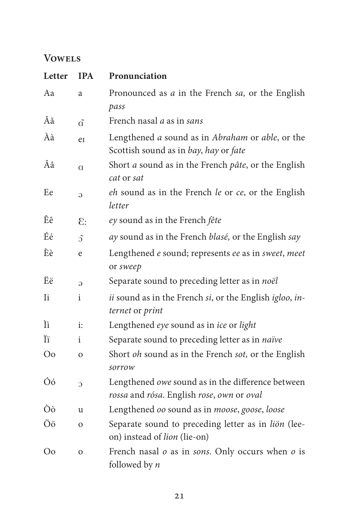## **Vowels**

| Letter         | <b>IPA</b>     | Pronunciation                                                                                  |  |
|----------------|----------------|------------------------------------------------------------------------------------------------|--|
| Aa             | a              | Pronounced as <i>a</i> in the French <i>sa</i> , or the English<br>pass                        |  |
| Ãã             | $\tilde{a}$    | French nasal <i>a</i> as in sans                                                               |  |
| Àà             | er             | Lengthened a sound as in Abraham or able, or the<br>Scottish sound as in bay, hay or fate      |  |
| Ââ             | $\alpha$       | Short <i>a</i> sound as in the French <i>pâte</i> , or the English<br>cat or sat               |  |
| Ee             | G              | eh sound as in the French le or ce, or the English<br>letter                                   |  |
| Êê             | 3              | ey sound as in the French fête                                                                 |  |
| Éé             | $\tilde{O}$    | ay sound as in the French blasé, or the English say                                            |  |
| Èè             | e              | Lengthened e sound; represents ee as in sweet, meet<br>or sweep                                |  |
| Ëë             | G              | Separate sound to preceding letter as in noël                                                  |  |
| Ii             | i              | ii sound as in the French si, or the English igloo, in-<br>ternet or print                     |  |
| Ìì             | $\mathbf{i}$ : | Lengthened eye sound as in ice or light                                                        |  |
| Ϊï             | i              | Separate sound to preceding letter as in naïve                                                 |  |
| O <sub>o</sub> | $\mathbf{o}$   | Short oh sound as in the French sot, or the English<br>sorrow                                  |  |
| Óó             | $\overline{C}$ | Lengthened owe sound as in the difference between<br>rossa and rósa. English rose, own or oval |  |
| Òò             | $\mathbf{11}$  | Lengthened oo sound as in moose, goose, loose                                                  |  |
| Öö             | $\mathbf{O}$   | Separate sound to preceding letter as in liön (lee-<br>on) instead of lion (lie-on)            |  |
| O <sub>0</sub> | $\mathbf{O}$   | French nasal $o$ as in <i>sons</i> . Only occurs when $o$ is<br>followed by <i>n</i>           |  |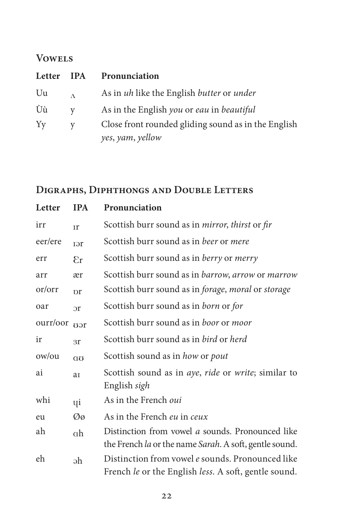## **Vowels**

| Letter | <b>IPA</b>   | Pronunciation                                       |
|--------|--------------|-----------------------------------------------------|
| Uu     | $\Lambda$    | As in uh like the English butter or under           |
| Ùù     | $\mathbf{V}$ | As in the English you or eau in beautiful           |
| Yy     | V            | Close front rounded gliding sound as in the English |
|        |              | yes, yam, yellow                                    |

# **Digraphs, Diphthongs and Double Letters**

| Letter   | <b>IPA</b>       | Pronunciation                                                                                            |  |
|----------|------------------|----------------------------------------------------------------------------------------------------------|--|
| irr      | Ir               | Scottish burr sound as in <i>mirror</i> , thirst or fir                                                  |  |
| eer/ere  | rer              | Scottish burr sound as in beer or mere                                                                   |  |
| err      | 8r               | Scottish burr sound as in <i>berry</i> or <i>merry</i>                                                   |  |
| arr      | ær               | Scottish burr sound as in barrow, arrow or marrow                                                        |  |
| or/orr   | pr               | Scottish burr sound as in <i>forage</i> , <i>moral</i> or <i>storage</i>                                 |  |
| oar      | $\mathfrak{D}$ r | Scottish burr sound as in born or for                                                                    |  |
| ourr/oor | var              | Scottish burr sound as in <i>boor</i> or <i>moor</i>                                                     |  |
| ir       | 3r               | Scottish burr sound as in <i>bird</i> or <i>herd</i>                                                     |  |
| ow/ou    | $\alpha$         | Scottish sound as in how or pout                                                                         |  |
| ai       | aI               | Scottish sound as in <i>aye</i> , <i>ride</i> or <i>write</i> ; similar to<br>English sigh               |  |
| whi      | Чi               | As in the French <i>oui</i>                                                                              |  |
| eu       | Øø               | As in the French eu in ceux                                                                              |  |
| ah       | αh               | Distinction from vowel a sounds. Pronounced like                                                         |  |
|          |                  | the French la or the name Sarah. A soft, gentle sound.                                                   |  |
| eh       | əh               | Distinction from vowel e sounds. Pronounced like<br>French le or the English less. A soft, gentle sound. |  |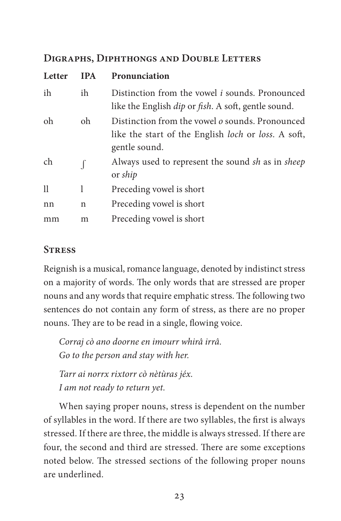### **Digraphs, Diphthongs and Double Letters**

| Letter       | <b>IPA</b> | Pronunciation                                                                                                                  |
|--------------|------------|--------------------------------------------------------------------------------------------------------------------------------|
| ih           | ih         | Distinction from the vowel <i>i</i> sounds. Pronounced<br>like the English <i>dip</i> or <i>fish</i> . A soft, gentle sound.   |
| oh           | oh         | Distinction from the vowel <i>o</i> sounds. Pronounced<br>like the start of the English loch or loss. A soft,<br>gentle sound. |
| ch           |            | Always used to represent the sound sh as in sheep<br>or <i>ship</i>                                                            |
| $\mathbf{1}$ | 1          | Preceding vowel is short                                                                                                       |
| nn           | n          | Preceding vowel is short                                                                                                       |
| mm           | m          | Preceding vowel is short                                                                                                       |

### **Stress**

Reignish is a musical, romance language, denoted by indistinct stress on a majority of words. The only words that are stressed are proper nouns and any words that require emphatic stress. The following two sentences do not contain any form of stress, as there are no proper nouns. They are to be read in a single, flowing voice.

*Corraj cò ano doorne en imourr whirâ irrâ. Go to the person and stay with her.*

*Tarr ai norrx rixtorr cò nètùras jéx. I am not ready to return yet.*

When saying proper nouns, stress is dependent on the number of syllables in the word. If there are two syllables, the first is always stressed. If there are three, the middle is always stressed. If there are four, the second and third are stressed. There are some exceptions noted below. The stressed sections of the following proper nouns are underlined.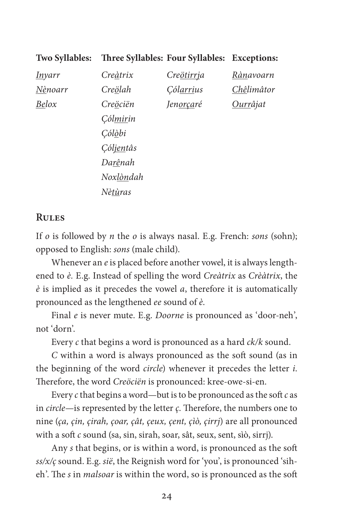| <b>Two Syllables:</b> | Three Syllables: Four Syllables: Exceptions: |                         |                  |
|-----------------------|----------------------------------------------|-------------------------|------------------|
| <u>In</u> yarr        | Creàtrix                                     | Cre <u>ötirrj</u> a     | Rànavoarn        |
| Nènoarr               | Creölah                                      | <i>Cól<u>arri</u>us</i> | Chêlimâtor       |
| Belox                 | Creöciën                                     | Jen <u>orça</u> ré      | <u>Ourr</u> âjat |
|                       | <i>Cólmirin</i>                              |                         |                  |
|                       | <i>Cól<u>ò</u>bi</i>                         |                         |                  |
|                       | Cól <u>ien</u> tâs                           |                         |                  |
|                       | Darênah                                      |                         |                  |
|                       | Noxlòndah                                    |                         |                  |
|                       | Nètùras                                      |                         |                  |

#### **Rules**

If *o* is followed by *n* the *o* is always nasal. E.g. French: *sons* (sohn); opposed to English: *sons* (male child).

Whenever an *e* is placed before another vowel, it is always lengthened to *è.* E.g. Instead of spelling the word *Creàtrix* as *Crèàtrix*, the *è* is implied as it precedes the vowel *a*, therefore it is automatically pronounced as the lengthened *ee* sound of *è*.

Final *e* is never mute. E.g. *Doorne* is pronounced as 'door-neh', not 'dorn'.

Every *c* that begins a word is pronounced as a hard *ck/k* sound.

*C* within a word is always pronounced as the soft sound (as in the beginning of the word *circle*) whenever it precedes the letter *i*. Therefore, the word *Creöciën* is pronounced: kree-owe-si-en.

Every *c* that begins a word—but is to be pronounced as the soft *c* as in *circle*—is represented by the letter *ç*. Therefore, the numbers one to nine (*ça, çin, çirah, çoar, çât, çeux, çent, çìò, çirrj*) are all pronounced with a soft *c* sound (sa, sin, sirah, soar, sât, seux, sent, sìò, sirrj).

Any *s* that begins, or is within a word, is pronounced as the soft *ss/x/ç* sound. E.g. *sië*, the Reignish word for 'you', is pronounced 'siheh'. The *s* in *malsoar* is within the word, so is pronounced as the soft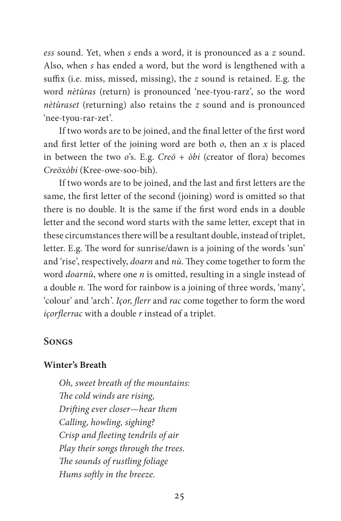*ess* sound. Yet, when *s* ends a word, it is pronounced as a *z* sound. Also, when *s* has ended a word, but the word is lengthened with a suffix (i.e. miss, missed, missing), the *z* sound is retained. E.g. the word *nètùras* (return) is pronounced 'nee-tyou-rarz', so the word *nètùraset* (returning) also retains the *z* sound and is pronounced 'nee-tyou-rar-zet'.

If two words are to be joined, and the final letter of the first word and first letter of the joining word are both *o*, then an *x* is placed in between the two *o*'s. E.g. *Creö* + *òbi* (creator of flora) becomes *Creöxòbi* (Kree-owe-soo-bih).

If two words are to be joined, and the last and first letters are the same, the first letter of the second (joining) word is omitted so that there is no double. It is the same if the first word ends in a double letter and the second word starts with the same letter, except that in these circumstances there will be a resultant double, instead of triplet, letter. E.g. The word for sunrise/dawn is a joining of the words 'sun' and 'rise', respectively, *doarn* and *nù*. They come together to form the word *doarnù*, where one *n* is omitted, resulting in a single instead of a double *n*. The word for rainbow is a joining of three words, 'many', 'colour' and 'arch'. *Içor*, *flerr* and *rac* come together to form the word *içorflerrac* with a double *r* instead of a triplet.

### **Songs**

#### **Winter's Breath**

*Oh, sweet breath of the mountains: The cold winds are rising, Drifting ever closer—hear them Calling, howling, sighing? Crisp and fleeting tendrils of air Play their songs through the trees. The sounds of rustling foliage Hums softly in the breeze.*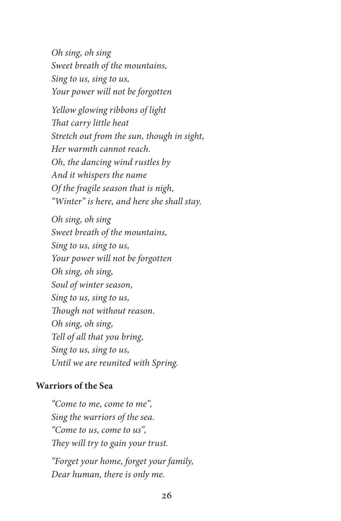*Oh sing, oh sing Sweet breath of the mountains, Sing to us, sing to us, Your power will not be forgotten*

*Yellow glowing ribbons of light That carry little heat Stretch out from the sun, though in sight, Her warmth cannot reach. Oh, the dancing wind rustles by And it whispers the name Of the fragile season that is nigh, "Winter" is here, and here she shall stay.*

*Oh sing, oh sing Sweet breath of the mountains, Sing to us, sing to us, Your power will not be forgotten Oh sing, oh sing, Soul of winter season, Sing to us, sing to us, Though not without reason. Oh sing, oh sing, Tell of all that you bring, Sing to us, sing to us, Until we are reunited with Spring.*

### **Warriors of the Sea**

*"Come to me, come to me", Sing the warriors of the sea. "Come to us, come to us", They will try to gain your trust. "Forget your home, forget your family, Dear human, there is only me.*